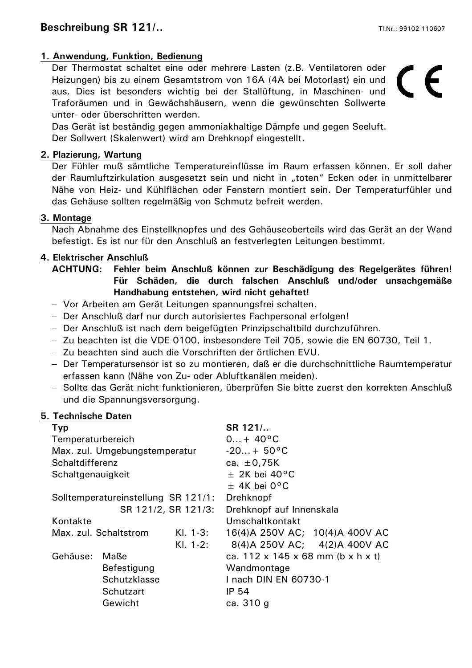## **1. Anwendung, Funktion, Bedienung**

Der Thermostat schaltet eine oder mehrere Lasten (z.B. Ventilatoren oder Heizungen) bis zu einem Gesamtstrom von 16A (4A bei Motorlast) ein und aus. Dies ist besonders wichtig bei der Stallüftung, in Maschinen- und Traforäumen und in Gewächshäusern, wenn die gewünschten Sollwerte unter- oder überschritten werden.

 $\epsilon$ 

Das Gerät ist beständig gegen ammoniakhaltige Dämpfe und gegen Seeluft. Der Sollwert (Skalenwert) wird am Drehknopf eingestellt.

#### **2. Plazierung, Wartung**

Der Fühler muß sämtliche Temperatureinflüsse im Raum erfassen können. Er soll daher der Raumluftzirkulation ausgesetzt sein und nicht in "toten" Ecken oder in unmittelbarer Nähe von Heiz- und Kühlflächen oder Fenstern montiert sein. Der Temperaturfühler und das Gehäuse sollten regelmäßig von Schmutz befreit werden.

#### **3. Montage**

Nach Abnahme des Einstellknopfes und des Gehäuseoberteils wird das Gerät an der Wand befestigt. Es ist nur für den Anschluß an festverlegten Leitungen bestimmt.

#### **4. Elektrischer Anschluß**

## **ACHTUNG: Fehler beim Anschluß können zur Beschädigung des Regelgerätes führen! Für Schäden, die durch falschen Anschluß und/oder unsachgemäße Handhabung entstehen, wird nicht gehaftet!**

- − Vor Arbeiten am Gerät Leitungen spannungsfrei schalten.
- − Der Anschluß darf nur durch autorisiertes Fachpersonal erfolgen!
- − Der Anschluß ist nach dem beigefügten Prinzipschaltbild durchzuführen.
- − Zu beachten ist die VDE 0100, insbesondere Teil 705, sowie die EN 60730, Teil 1.
- − Zu beachten sind auch die Vorschriften der örtlichen EVU.
- − Der Temperatursensor ist so zu montieren, daß er die durchschnittliche Raumtemperatur erfassen kann (Nähe von Zu- oder Abluftkanälen meiden).
- − Sollte das Gerät nicht funktionieren, überprüfen Sie bitte zuerst den korrekten Anschluß und die Spannungsversorgung.

#### **5. Technische Daten**

| <b>Typ</b>                          |              |            | SR 121/                           |
|-------------------------------------|--------------|------------|-----------------------------------|
| Temperaturbereich                   |              |            | $0 + 40^{\circ}C$                 |
| Max. zul. Umgebungstemperatur       |              |            | $-20 + 50^{\circ}C$               |
| Schaltdifferenz                     |              |            | ca. $\pm 0.75K$                   |
| Schaltgenauigkeit                   |              |            | $\pm$ 2K bei 40°C                 |
|                                     |              |            | $\pm$ 4K bei 0°C                  |
| Solltemperatureinstellung SR 121/1: |              |            | Drehknopf                         |
| SR 121/2, SR 121/3:                 |              |            | Drehknopf auf Innenskala          |
| Kontakte                            |              |            | Umschaltkontakt                   |
| KI. 1-3:<br>Max. zul. Schaltstrom   |              |            | 16(4) A 250V AC; 10(4) A 400V AC  |
|                                     |              | $KI. 1-2:$ | 8(4)A 250V AC; 4(2)A 400V AC      |
| Gehäuse:                            | Maße         |            | ca. 112 x 145 x 68 mm (b x h x t) |
|                                     | Befestigung  |            | Wandmontage                       |
|                                     | Schutzklasse |            | 1 nach DIN EN 60730-1             |
|                                     | Schutzart    |            | IP 54                             |
|                                     | Gewicht      |            | ca. 310 g                         |
|                                     |              |            |                                   |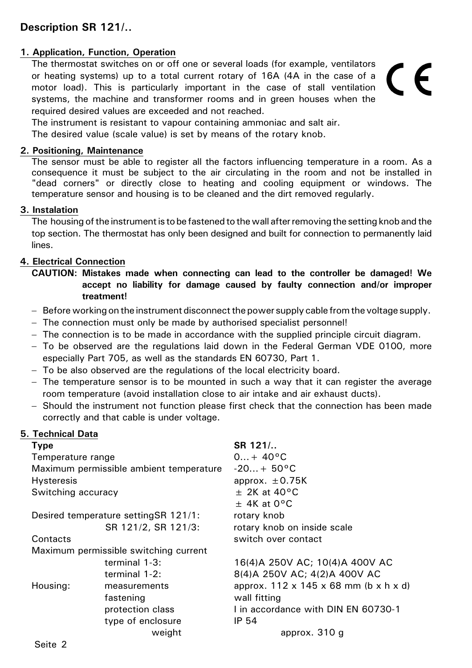# **Description SR 121/..**

## **1. Application, Function, Operation**

The thermostat switches on or off one or several loads (for example, ventilators or heating systems) up to a total current rotary of 16A (4A in the case of a motor load). This is particularly important in the case of stall ventilation systems, the machine and transformer rooms and in green houses when the required desired values are exceeded and not reached.

# $\epsilon$

The instrument is resistant to vapour containing ammoniac and salt air.

The desired value (scale value) is set by means of the rotary knob.

#### **2. Positioning, Maintenance**

The sensor must be able to register all the factors influencing temperature in a room. As a consequence it must be subject to the air circulating in the room and not be installed in "dead corners" or directly close to heating and cooling equipment or windows. The temperature sensor and housing is to be cleaned and the dirt removed regularly.

#### **3. Instalation**

The housing of the instrument is to be fastened to the wall after removing the setting knob and the top section. The thermostat has only been designed and built for connection to permanently laid lines.

#### **4. Electrical Connection**

- **CAUTION: Mistakes made when connecting can lead to the controller be damaged! We accept no liability for damage caused by faulty connection and/or improper treatment!**
- − Before working on the instrument disconnect the power supply cable from the voltage supply.
- − The connection must only be made by authorised specialist personnel!
- − The connection is to be made in accordance with the supplied principle circuit diagram.
- − To be observed are the regulations laid down in the Federal German VDE 0100, more especially Part 705, as well as the standards EN 60730, Part 1.
- − To be also observed are the regulations of the local electricity board.
- − The temperature sensor is to be mounted in such a way that it can register the average room temperature (avoid installation close to air intake and air exhaust ducts).
- − Should the instrument not function please first check that the connection has been made correctly and that cable is under voltage.

#### **5. Technical Data**

| <b>Type</b>                             |                                       | SR 121/                                           |
|-----------------------------------------|---------------------------------------|---------------------------------------------------|
| Temperature range                       |                                       | $0 + 40^{\circ}C$                                 |
| Maximum permissible ambient temperature |                                       | $-20 + 50^{\circ}C$                               |
| <b>Hysteresis</b>                       |                                       | approx. $\pm$ 0.75K                               |
| Switching accuracy                      |                                       | $\pm$ 2K at 40°C                                  |
|                                         |                                       | $\pm$ 4K at 0°C                                   |
| Desired temperature setting SR 121/1:   |                                       | rotary knob                                       |
|                                         | SR 121/2, SR 121/3:                   | rotary knob on inside scale                       |
| Contacts                                |                                       | switch over contact                               |
|                                         | Maximum permissible switching current |                                                   |
|                                         | terminal $1-3$ :                      | 16(4)A 250V AC; 10(4)A 400V AC                    |
|                                         | terminal 1-2:                         | 8(4)A 250V AC; 4(2)A 400V AC                      |
| Housing:                                | measurements                          | approx. $112 \times 145 \times 68$ mm (b x h x d) |
|                                         | fastening                             | wall fitting                                      |
|                                         | protection class                      | I in accordance with DIN EN 60730-1               |
|                                         | type of enclosure                     | IP 54                                             |
|                                         | weight                                | approx. 310 g                                     |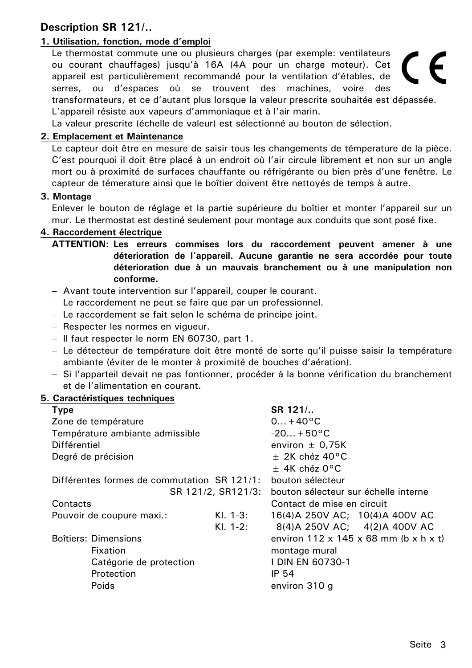# **Description SR 121/..**

# **1. Utilisation, fonction, mode d'emploi**

Le thermostat commute une ou plusieurs charges (par exemple: ventilateurs ou courant chauffages) jusqu'à 16A (4A pour un charge moteur). Cet appareil est particulièrement recommandé pour la ventilation d'étables, de serres, ou d'espaces où se trouvent des machines, voire des transformateurs, et ce d'autant plus lorsque la valeur prescrite souhaitée est dépassée. L'appareil résiste aux vapeurs d'ammoniaque et à l'air marin.

La valeur prescrite (échelle de valeur) est sélectionné au bouton de sélection.

#### **2. Emplacement et Maintenance**

Le capteur doit être en mesure de saisir tous les changements de témperature de la pièce. C'est pourquoi il doit être placé à un endroit où l'air circule librement et non sur un angle mort ou à proximité de surfaces chauffante ou réfrigérante ou bien près d'une fenêtre. Le capteur de témerature ainsi que le boîtier doivent être nettoyés de temps à autre.

#### **3. Montage**

Enlever le bouton de réglage et la partie supérieure du boîtier et monter l'appareil sur un mur. Le thermostat est destiné seulement pour montage aux conduits que sont posé fixe.

#### **4. Raccordement électrique**

**ATTENTION: Les erreurs commises lors du raccordement peuvent amener à une déterioration de l'appareil. Aucune garantie ne sera accordée pour toute déterioration due à un mauvais branchement ou à une manipulation non conforme.** 

- − Avant toute intervention sur l'appareil, couper le courant.
- − Le raccordement ne peut se faire que par un professionnel.
- − Le raccordement se fait selon le schéma de principe joint.
- − Respecter les normes en vigueur.
- − Il faut respecter le norm EN 60730, part 1.
- − Le détecteur de température doit être monté de sorte qu'il puisse saisir la température ambiante (éviter de le monter à proximité de bouches d'aération).
- − Si l'apparteil devait ne pas fontionner, procéder à la bonne vérification du branchement et de l'alimentation en courant.

#### **5. Caractéristiques techniques**

| <b>Type</b>                                 |                                                   | SR 121/                          |
|---------------------------------------------|---------------------------------------------------|----------------------------------|
| Zone de température                         | $0+40°C$                                          |                                  |
| Température ambiante admissible             | $-20+50°C$                                        |                                  |
| Différentiel                                | environ $\pm$ 0,75K                               |                                  |
| Degré de précision                          | $\pm$ 2K chéz 40°C                                |                                  |
|                                             |                                                   | $\pm$ 4K chéz 0°C                |
| Différentes formes de commutation SR 121/1: | bouton sélecteur                                  |                                  |
| SR 121/2, SR121/3:                          | bouton sélecteur sur échelle interne              |                                  |
| Contacts                                    |                                                   | Contact de mise en circuit       |
| Pouvoir de coupure maxi.:                   | $Kl. 1-3:$                                        | 16(4) A 250V AC; 10(4) A 400V AC |
|                                             | $Kl. 1-2:$                                        | 8(4)A 250V AC; 4(2)A 400V AC     |
| <b>Boîtiers: Dimensions</b>                 | environ $112 \times 145 \times 68$ mm (b x h x t) |                                  |
| Fixation                                    | montage mural                                     |                                  |
| Catégorie de protection                     |                                                   | I DIN EN 60730-1                 |
| Protection                                  |                                                   | <b>IP 54</b>                     |
| Poids                                       |                                                   | environ 310 g                    |

 $\epsilon$